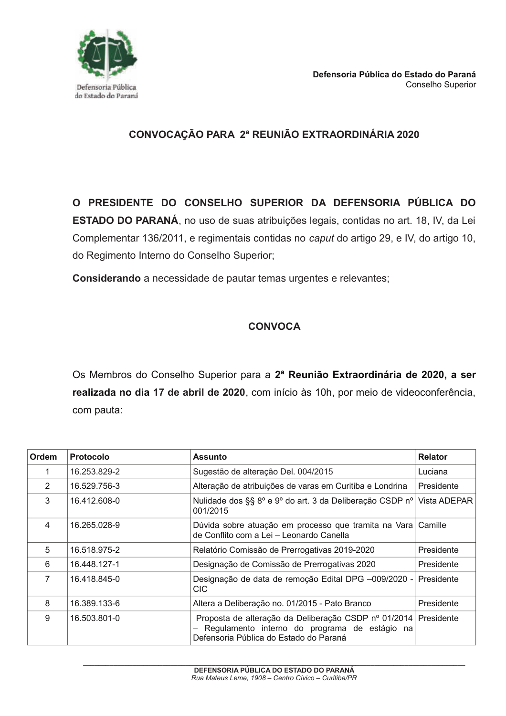

## CONVOCAÇÃO PARA 2ª REUNIÃO EXTRAORDINÁRIA 2020

O PRESIDENTE DO CONSELHO SUPERIOR DA DEFENSORIA PÚBLICA DO **ESTADO DO PARANÁ**, no uso de suas atribuições legais, contidas no art. 18, IV, da Lei Complementar 136/2011, e regimentais contidas no caput do artigo 29, e IV, do artigo 10, do Regimento Interno do Conselho Superior;

Considerando a necessidade de pautar temas urgentes e relevantes;

## **CONVOCA**

Os Membros do Conselho Superior para a 2ª Reunião Extraordinária de 2020, a ser realizada no dia 17 de abril de 2020, com início às 10h, por meio de videoconferência, com pauta:

| Ordem          | <b>Protocolo</b> | <b>Assunto</b>                                                                                                                                  | <b>Relator</b> |
|----------------|------------------|-------------------------------------------------------------------------------------------------------------------------------------------------|----------------|
| 1              | 16.253.829-2     | Sugestão de alteração Del. 004/2015                                                                                                             | Luciana        |
| 2              | 16.529.756-3     | Alteração de atribuições de varas em Curitiba e Londrina                                                                                        | Presidente     |
| 3              | 16.412.608-0     | Nulidade dos §§ 8º e 9º do art. 3 da Deliberação CSDP nº<br>001/2015                                                                            | Vista ADEPAR   |
| 4              | 16.265.028-9     | Dúvida sobre atuação em processo que tramita na Vara Camille<br>de Conflito com a Lei - Leonardo Canella                                        |                |
| 5              | 16.518.975-2     | Relatório Comissão de Prerrogativas 2019-2020                                                                                                   | Presidente     |
| 6              | 16.448.127-1     | Designação de Comissão de Prerrogativas 2020                                                                                                    | Presidente     |
| $\overline{7}$ | 16.418.845-0     | Designação de data de remoção Edital DPG -009/2020 -<br><b>CIC</b>                                                                              | Presidente     |
| 8              | 16.389.133-6     | Altera a Deliberação no. 01/2015 - Pato Branco                                                                                                  | Presidente     |
| 9              | 16.503.801-0     | Proposta de alteração da Deliberação CSDP nº 01/2014<br>Regulamento interno do programa de estágio na<br>Defensoria Pública do Estado do Paraná | Presidente     |